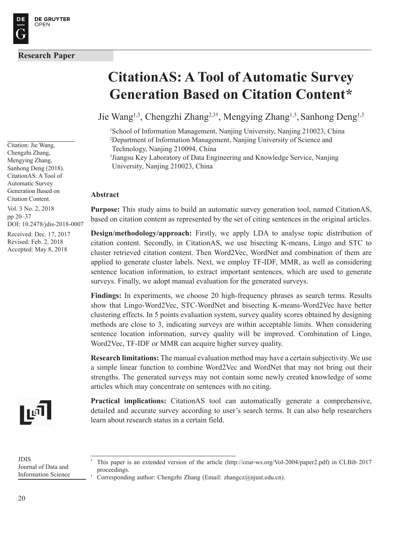Citation: Jie Wang, Chengzhi Zhang, Mengying Zhang, Sanhong Deng (2018). CitationAS: A Tool of Automatic Survey Generation Based on Citation Content.

Vol. 3 No. 2, 2018 pp 20–37 DOI: 10.2478/jdis-2018-0007

Received: Dec. 17, 2017 Revised: Feb. 2, 2018 Accepted: May 8, 2018



# **CitationAS: A Tool of Automatic Survey Generation Based on Citation Content\***

Jie Wang<sup>1,3</sup>, Chengzhi Zhang<sup>2,3†</sup>, Mengying Zhang<sup>1,3</sup>, Sanhong Deng<sup>1,3</sup>

1 School of Information Management, Nanjing University, Nanjing 210023, China 2 Department of Information Management, Nanjing University of Science and Technology, Nanjing 210094, China

3 Jiangsu Key Laboratory of Data Engineering and Knowledge Service, Nanjing University, Nanjing 210023, China

#### **Abstract**

**Purpose:** This study aims to build an automatic survey generation tool, named CitationAS, based on citation content as represented by the set of citing sentences in the original articles.

 **Design/methodology/approach:** Firstly, we apply LDA to analyse topic distribution of citation content. Secondly, in CitationAS, we use bisecting K-means, Lingo and STC to cluster retrieved citation content. Then Word2Vec, WordNet and combination of them are applied to generate cluster labels. Next, we employ TF-IDF, MMR, as well as considering sentence location information, to extract important sentences, which are used to generate surveys. Finally, we adopt manual evaluation for the generated surveys.

**Findings:** In experiments, we choose 20 high-frequency phrases as search terms. Results show that Lingo-Word2Vec, STC-WordNet and bisecting K-means-Word2Vec have better clustering effects. In 5 points evaluation system, survey quality scores obtained by designing methods are close to 3, indicating surveys are within acceptable limits. When considering sentence location information, survey quality will be improved. Combination of Lingo, Word2Vec, TF-IDF or MMR can acquire higher survey quality.

**Research limitations:** The manual evaluation method may have a certain subjectivity. We use a simple linear function to combine Word2Vec and WordNet that may not bring out their strengths. The generated surveys may not contain some newly created knowledge of some articles which may concentrate on sentences with no citing.

**Practical implications:** CitationAS tool can automatically generate a comprehensive, detailed and accurate survey according to user's search terms. It can also help researchers learn about research status in a certain field.

JDIS Journal of Data and Information Science

\*

This paper is an extended version of the article (http://ceur-ws.org/Vol-2004/paper2.pdf) in CLBib 2017 proceedings.

<sup>†</sup> Corresponding author: Chengzhi Zhang (Email: zhangcz@njust.edu.cn).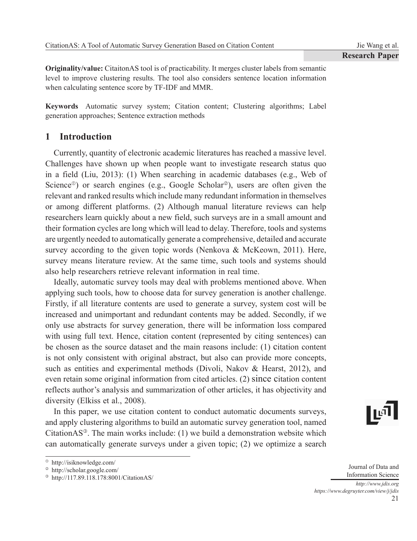**Originality/value:** CitaitonAS tool is of practicability. It merges cluster labels from semantic level to improve clustering results. The tool also considers sentence location information when calculating sentence score by TF-IDF and MMR.

**Keywords** Automatic survey system; Citation content; Clustering algorithms; Label generation approaches; Sentence extraction methods

# **1 Introduction**

Currently, quantity of electronic academic literatures has reached a massive level. Challenges have shown up when people want to investigate research status quo in a field (Liu, 2013): (1) When searching in academic databases (e.g., Web of Science<sup> $\circ$ </sup>) or search engines (e.g., Google Scholar<sup> $\circ$ </sup>), users are often given the relevant and ranked results which include many redundant information in themselves or among different platforms. (2) Although manual literature reviews can help researchers learn quickly about a new field, such surveys are in a small amount and their formation cycles are long which will lead to delay. Therefore, tools and systems are urgently needed to automatically generate a comprehensive, detailed and accurate survey according to the given topic words (Nenkova & McKeown, 2011). Here, survey means literature review. At the same time, such tools and systems should also help researchers retrieve relevant information in real time.

Ideally, automatic survey tools may deal with problems mentioned above. When applying such tools, how to choose data for survey generation is another challenge. Firstly, if all literature contents are used to generate a survey, system cost will be increased and unimportant and redundant contents may be added. Secondly, if we only use abstracts for survey generation, there will be information loss compared with using full text. Hence, citation content (represented by citing sentences) can be chosen as the source dataset and the main reasons include: (1) citation content is not only consistent with original abstract, but also can provide more concepts, such as entities and experimental methods (Divoli, Nakov & Hearst, 2012), and even retain some original information from cited articles. (2) since citation content reflects author's analysis and summarization of other articles, it has objectivity and diversity (Elkiss et al., 2008).

In this paper, we use citation content to conduct automatic documents surveys, and apply clustering algorithms to build an automatic survey generation tool, named CitationAS<sup>®</sup>. The main works include: (1) we build a demonstration website which can automatically generate surveys under a given topic; (2) we optimize a search

21 Journal of Data and Information Science *http://www.jdis.org https://www.degruyter.com/view/j/jdis*

http://isiknowledge.com/

http://scholar.google.com/

<sup>&</sup>lt;sup>®</sup> http://117.89.118.178:8001/CitationAS/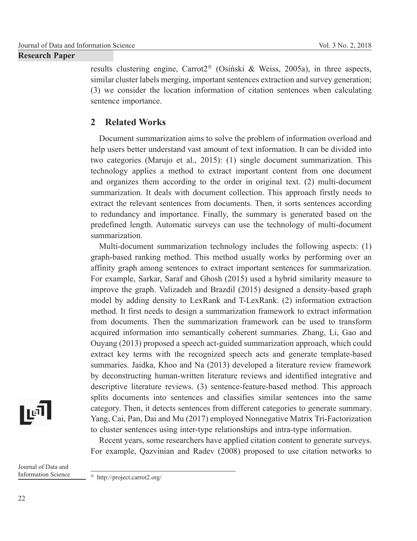results clustering engine, Carrot $2^{\circ}$  (Osiński & Weiss, 2005a), in three aspects, similar cluster labels merging, important sentences extraction and survey generation; (3) we consider the location information of citation sentences when calculating sentence importance.

# **2 Related Works**

Document summarization aims to solve the problem of information overload and help users better understand vast amount of text information. It can be divided into two categories (Marujo et al., 2015): (1) single document summarization. This technology applies a method to extract important content from one document and organizes them according to the order in original text. (2) multi-document summarization. It deals with document collection. This approach firstly needs to extract the relevant sentences from documents. Then, it sorts sentences according to redundancy and importance. Finally, the summary is generated based on the predefined length. Automatic surveys can use the technology of multi-document summarization.

Multi-document summarization technology includes the following aspects: (1) graph-based ranking method. This method usually works by performing over an affinity graph among sentences to extract important sentences for summarization. For example, Sarkar, Saraf and Ghosh (2015) used a hybrid similarity measure to improve the graph. Valizadeh and Brazdil (2015) designed a density-based graph model by adding density to LexRank and T-LexRank. (2) information extraction method. It first needs to design a summarization framework to extract information from documents. Then the summarization framework can be used to transform acquired information into semantically coherent summaries. Zhang, Li, Gao and Ouyang (2013) proposed a speech act-guided summarization approach, which could extract key terms with the recognized speech acts and generate template-based summaries. Jaidka, Khoo and Na (2013) developed a literature review framework by deconstructing human-written literature reviews and identified integrative and descriptive literature reviews. (3) sentence-feature-based method. This approach splits documents into sentences and classifies similar sentences into the same category. Then, it detects sentences from different categories to generate summary. Yang, Cai, Pan, Dai and Mu (2017) employed Nonnegative Matrix Tri-Factorization to cluster sentences using inter-type relationships and intra-type information.

Recent years, some researchers have applied citation content to generate surveys. For example, Qazvinian and Radev (2008) proposed to use citation networks to

Journal of Data and Information Science

∣ויֿיַו

http://project.carrot2.org/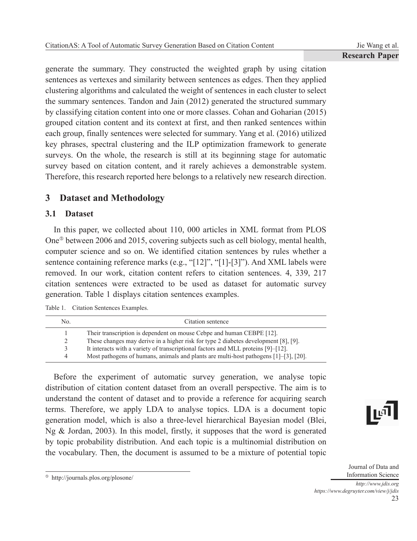generate the summary. They constructed the weighted graph by using citation sentences as vertexes and similarity between sentences as edges. Then they applied clustering algorithms and calculated the weight of sentences in each cluster to select the summary sentences. Tandon and Jain (2012) generated the structured summary by classifying citation content into one or more classes. Cohan and Goharian (2015) grouped citation content and its context at first, and then ranked sentences within each group, finally sentences were selected for summary. Yang et al. (2016) utilized key phrases, spectral clustering and the ILP optimization framework to generate surveys. On the whole, the research is still at its beginning stage for automatic survey based on citation content, and it rarely achieves a demonstrable system. Therefore, this research reported here belongs to a relatively new research direction.

# **3 Dataset and Methodology**

## **3.1 Dataset**

In this paper, we collected about 110, 000 articles in XML format from PLOS One<sup> $\circ$ </sup> between 2006 and 2015, covering subjects such as cell biology, mental health, computer science and so on. We identified citation sentences by rules whether a sentence containing reference marks (e.g., "[12]", "[1]-[3]"). And XML labels were removed. In our work, citation content refers to citation sentences. 4, 339, 217 citation sentences were extracted to be used as dataset for automatic survey generation. Table 1 displays citation sentences examples.

| No. | Citation sentence                                                                          |
|-----|--------------------------------------------------------------------------------------------|
|     | Their transcription is dependent on mouse Cebpe and human CEBPE [12].                      |
|     | These changes may derive in a higher risk for type 2 diabetes development [8], [9].        |
| 3   | It interacts with a variety of transcriptional factors and MLL proteins [9]–[12].          |
| 4   | Most pathogens of humans, animals and plants are multi-host pathogens $[1]-[3]$ , $[20]$ . |

Before the experiment of automatic survey generation, we analyse topic distribution of citation content dataset from an overall perspective. The aim is to understand the content of dataset and to provide a reference for acquiring search terms. Therefore, we apply LDA to analyse topics. LDA is a document topic generation model, which is also a three-level hierarchical Bayesian model (Blei, Ng & Jordan, 2003). In this model, firstly, it supposes that the word is generated by topic probability distribution. And each topic is a multinomial distribution on the vocabulary. Then, the document is assumed to be a mixture of potential topic



http://journals.plos.org/plosone/

Journal of Data and Information Science *http://www.jdis.org https://www.degruyter.com/view/j/jdis*

23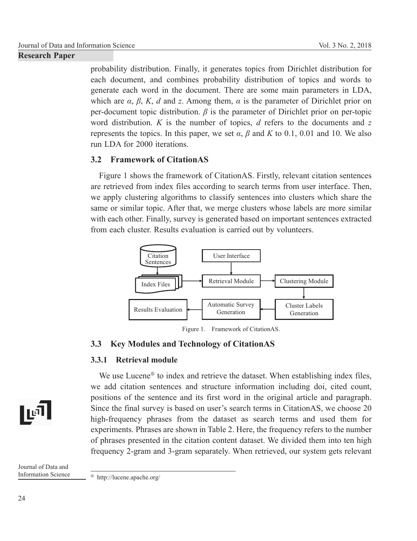probability distribution. Finally, it generates topics from Dirichlet distribution for each document, and combines probability distribution of topics and words to generate each word in the document. There are some main parameters in LDA, which are *α*, *β*, *K*, *d* and *z*. Among them, *α* is the parameter of Dirichlet prior on per-document topic distribution. *β* is the parameter of Dirichlet prior on per-topic word distribution. *K* is the number of topics, *d* refers to the documents and *z* represents the topics. In this paper, we set  $\alpha$ ,  $\beta$  and  $K$  to 0.1, 0.01 and 10. We also run LDA for 2000 iterations.

## **3.2 Framework of Citation AS**

Figure 1 shows the framework of CitationAS. Firstly, relevant citation sentences are retrieved from index files according to search terms from user interface. Then, we apply clustering algorithms to classify sentences into clusters which share the same or similar topic. After that, we merge clusters whose labels are more similar with each other. Finally, survey is generated based on important sentences extracted from each cluster. Results evaluation is carried out by volunteers.



Figure 1. Framework of CitationAS.

## **3.3 Key Modules and Technology of CitationAS**

## **3.3.1 Retrieval module**

We use Lucene<sup> $\circ$ </sup> to index and retrieve the dataset. When establishing index files, we add citation sentences and structure information including doi, cited count, positions of the sentence and its first word in the original article and paragraph. Since the final survey is based on user's search terms in CitationAS, we choose 20 high-frequency phrases from the dataset as search terms and used them for experiments. Phrases are shown in Table 2. Here, the frequency refers to the number of phrases presented in the citation content dataset. We divided them into ten high frequency 2-gram and 3-gram separately. When retrieved, our system gets relevant

Journal of Data and Information Science

∏ਾ

http://lucene.apache.org/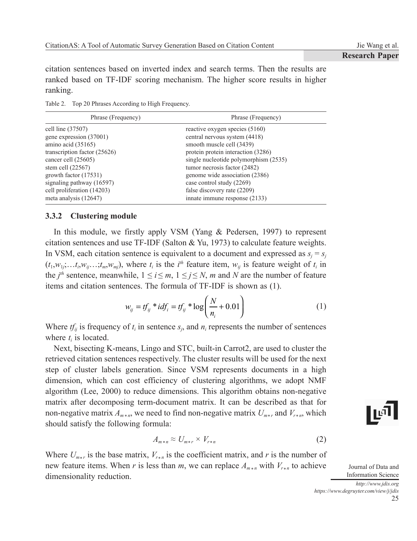citation sentences based on inverted index and search terms. Then the results are ranked based on TF-IDF scoring mechanism. The higher score results in higher ranking.

Table 2. Top 20 Phrases According to High Frequency.

| Phrase (Frequency)           | Phrase (Frequency)                    |
|------------------------------|---------------------------------------|
| cell line (37507)            | reactive oxygen species (5160)        |
| gene expression (37001)      | central nervous system (4418)         |
| amino acid (35165)           | smooth muscle cell (3439)             |
| transcription factor (25626) | protein protein interaction (3286)    |
| cancer cell (25605)          | single nucleotide polymorphism (2535) |
| stem cell $(22567)$          | tumor necrosis factor (2482)          |
| growth factor (17531)        | genome wide association (2386)        |
| signaling pathway (16597)    | case control study (2269)             |
| cell proliferation (14203)   | false discovery rate (2209)           |
| meta analysis $(12647)$      | innate immune response (2133)         |

## **3.3.2 Clustering module**

In this module, we firstly apply VSM (Yang & Pedersen, 1997) to represent citation sentences and use TF-IDF (Salton & Yu, 1973) to calculate feature weights. In VSM, each citation sentence is equivalent to a document and expressed as  $s_j = s_j$  $(t_1, w_{1j}, \ldots, t_i, w_{ij}, \ldots, t_m, w_{mj})$ , where  $t_i$  is the *i*<sup>th</sup> feature item,  $w_{ij}$  is feature weight of  $t_i$  in the *j*<sup>th</sup> sentence, meanwhile,  $1 \le i \le m$ ,  $1 \le j \le N$ , *m* and *N* are the number of feature items and citation sentences. The formula of TF-IDF is shown as (1).

$$
w_{ij} = tf_{ij} * idf_i = tf_{ij} * \log\left(\frac{N}{n_i} + 0.01\right)
$$
 (1)

Where  $tf_{ij}$  is frequency of  $t_i$  in sentence  $s_j$ , and  $n_i$  represents the number of sentences where  $t_i$  is located.

Next, bisecting K-means, Lingo and STC, built-in Carrot2, are used to cluster the retrieved citation sentences respectively. The cluster results will be used for the next step of cluster labels generation. Since VSM represents documents in a high dimension, which can cost efficiency of clustering algorithms, we adopt NMF algorithm (Lee, 2000) to reduce dimensions. This algorithm obtains non-negative matrix after decomposing term-document matrix. It can be described as that for non-negative matrix  $A_{m*n}$ , we need to find non-negative matrix  $U_{m*r}$  and  $V_{r*n}$ , which should satisfy the following formula:

$$
A_{m*n} \approx U_{m*r} \times V_{r*n} \tag{2}
$$

Where  $U_{m*r}$  is the base matrix,  $V_{r*n}$  is the coefficient matrix, and *r* is the number of new feature items. When *r* is less than *m*, we can replace  $A_{m+n}$  with  $V_{r+n}$  to achieve dimensionality reduction.

∣ங

Journal of Data and Information Science

25 *http://www.jdis.org https://www.degruyter.com/view/j/jdis*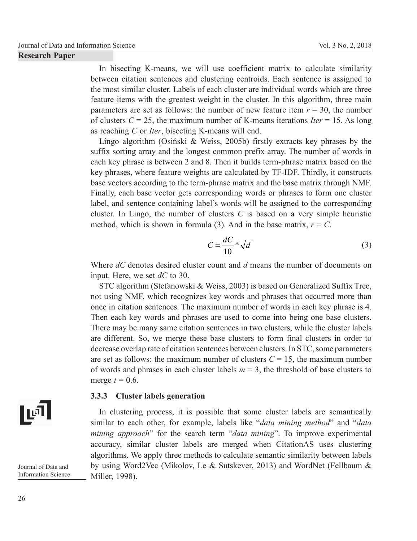In bisecting K-means, we will use coefficient matrix to calculate similarity between citation sentences and clustering centroids. Each sentence is assigned to the most similar cluster. Labels of each cluster are individual words which are three feature items with the greatest weight in the cluster. In this algorithm, three main parameters are set as follows: the number of new feature item  $r = 30$ , the number of clusters  $C = 25$ , the maximum number of K-means iterations *Iter* = 15. As long as reaching *C* or *Iter*, bisecting K-means will end.

Lingo algorithm (Osiński & Weiss, 2005b) firstly extracts key phrases by the suffix sorting array and the longest common prefix array. The number of words in each key phrase is between 2 and 8. Then it builds term-phrase matrix based on the key phrases, where feature weights are calculated by TF-IDF. Thirdly, it constructs base vectors according to the term-phrase matrix and the base matrix through NMF. Finally, each base vector gets corresponding words or phrases to form one cluster label, and sentence containing label's words will be assigned to the corresponding cluster. In Lingo, the number of clusters *C* is based on a very simple heuristic method, which is shown in formula (3). And in the base matrix,  $r = C$ .

$$
C = \frac{dC}{10} * \sqrt{d}
$$
 (3)

Where *dC* denotes desired cluster count and *d* means the number of documents on input. Here, we set *dC* to 30.

STC algorithm (Stefanowski & Weiss, 2003) is based on Generalized Suffix Tree, not using NMF, which recognizes key words and phrases that occurred more than once in citation sentences. The maximum number of words in each key phrase is 4. Then each key words and phrases are used to come into being one base clusters. There may be many same citation sentences in two clusters, while the cluster labels are different. So, we merge these base clusters to form final clusters in order to decrease overlap rate of citation sentences between clusters. In STC, some parameters are set as follows: the maximum number of clusters  $C = 15$ , the maximum number of words and phrases in each cluster labels  $m = 3$ , the threshold of base clusters to merge  $t = 0.6$ .

#### **3.3.3 Cluster labels generation**

In clustering process, it is possible that some cluster labels are semantically similar to each other, for example, labels like "*data mining method*" and "*data mining approach*" for the search term "*data mining*". To improve experimental accuracy, similar cluster labels are merged when CitationAS uses clustering algorithms. We apply three methods to calculate semantic similarity between labels by using Word2Vec (Mikolov, Le & Sutskever, 2013) and WordNet (Fellbaum & Miller, 1998).

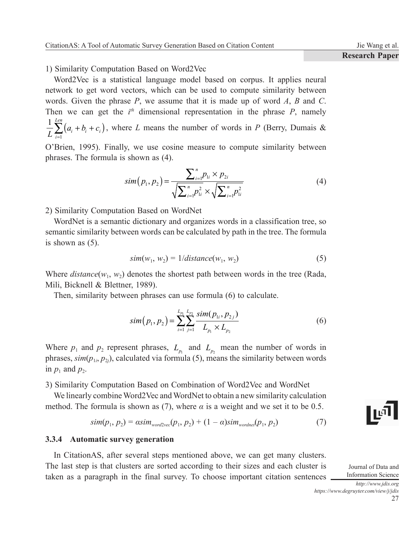1) Similarity Computation Based on Word2Vec

Word2Vec is a statistical language model based on corpus. It applies neural network to get word vectors, which can be used to compute similarity between words. Given the phrase *P*, we assume that it is made up of word *A*, *B* and *C*. Then we can get the  $i<sup>th</sup>$  dimensional representation in the phrase  $P$ , namely  $\frac{1}{L} \sum_{i=1}^{Len} (a_i + b_i + c_i)$  $a_i + b_i + c$  $\frac{1}{L}\sum_{i=1}^{L} (a_i + b_i + c_i)$ , where *L* means the number of words in *P* (Berry, Dumais &

1 O'Brien, 1995). Finally, we use cosine measure to compute similarity between phrases. The formula is shown as (4).

$$
sim(p_1, p_2) = \frac{\sum_{i=1}^{n} p_{1i} \times p_{2i}}{\sqrt{\sum_{i=1}^{n} p_{1i}^2} \times \sqrt{\sum_{i=1}^{n} p_{1i}^2}}
$$
(4)

2) Similarity Computation Based on WordNet

WordNet is a semantic dictionary and organizes words in a classification tree, so semantic similarity between words can be calculated by path in the tree. The formula is shown as (5).

$$
sim(w_1, w_2) = 1/distance(w_1, w_2)
$$
\n(5)

Where  $distance(w_1, w_2)$  denotes the shortest path between words in the tree (Rada, Mili, Bicknell & Blettner, 1989).

Then, similarity between phrases can use formula (6) to calculate.

$$
sim(p_1, p_2) = \sum_{i=1}^{L_{p_1}} \sum_{j=1}^{L_{p_2}} \frac{sim(p_{1i}, p_{2j})}{L_{p_1} \times L_{p_2}}
$$
(6)

Where  $p_1$  and  $p_2$  represent phrases,  $L_{p_1}$  and  $L_{p_2}$  mean the number of words in phrases,  $\text{sim}(p_{1i}, p_{2j})$ , calculated via formula (5), means the similarity between words in  $p_1$  and  $p_2$ .

3) Similarity Computation Based on Combination of Word2Vec and WordNet

We linearly combine Word2Vec and WordNet to obtain a new similarity calculation method. The formula is shown as (7), where  $\alpha$  is a weight and we set it to be 0.5.

$$
sim(p_1, p_2) = \alpha sim_{word2vec}(p_1, p_2) + (1 - \alpha) sim_{wordnet}(p_1, p_2)
$$
 (7)

#### **3.3.4 Automatic survey generation**

In CitationAS, after several steps mentioned above, we can get many clusters. The last step is that clusters are sorted according to their sizes and each cluster is taken as a paragraph in the final survey. To choose important citation sentences



Journal of Data and Information Science *http://www.jdis.org*

*https://www.degruyter.com/view/j/jdis*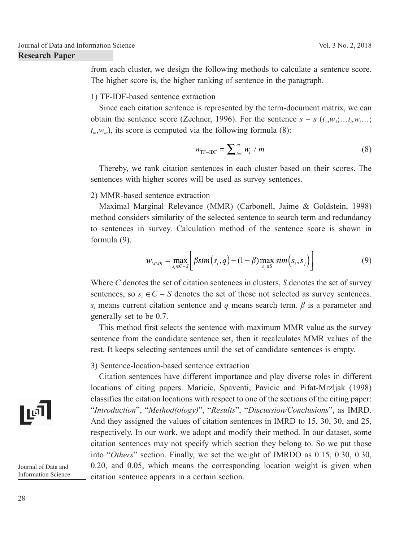from each cluster, we design the following methods to calculate a sentence score. The higher score is, the higher ranking of sentence in the paragraph.

### 1) TF-IDF-based sentence extraction

Since each citation sentence is represented by the term-document matrix, we can obtain the sentence score (Zechner, 1996). For the sentence  $s = s$  ( $t_1, w_1, \ldots, w_i, \ldots$ ;  $t_m, w_m$ ), its score is computed via the following formula (8):

$$
w_{\text{TF-IDF}} = \sum_{i=1}^{m} w_i / m \tag{8}
$$

Thereby, we rank citation sentences in each cluster based on their scores. The sentences with higher scores will be used as survey sentences.

#### 2) MMR-based sentence extraction

Maximal Marginal Relevance (MMR) (Carbonell, Jaime & Goldstein, 1998) method considers similarity of the selected sentence to search term and redundancy to sentences in survey. Calculation method of the sentence score is shown in formula (9).

$$
w_{MMR} = \max_{s_i \in C-S} \bigg[ \beta \, \text{sim}\big(s_i, q\big) - (1-\beta) \max_{s_j \in S} \, \text{sim}\big(s_i, s_j\big) \bigg] \tag{9}
$$

Where *C* denotes the set of citation sentences in clusters, *S* denotes the set of survey sentences, so  $s_i \in C - S$  denotes the set of those not selected as survey sentences. *si* means current citation sentence and *q* means search term. *β* is a parameter and generally set to be 0.7.

This method first selects the sentence with maximum MMR value as the survey sentence from the candidate sentence set, then it recalculates MMR values of the rest. It keeps selecting sentences until the set of candidate sentences is empty.

#### 3) Sentence-location-based sentence extraction

Citation sentences have different importance and play diverse roles in different locations of citing papers. Maricic, Spaventi, Pavicic and Pifat-Mrzljak (1998) classifies the citation locations with respect to one of the sections of the citing paper: "*Introduction*", "*Method(ology)*", "*Results*", "*Discussion/Conclusions*", as IMRD. And they assigned the values of citation sentences in IMRD to 15, 30, 30, and 25, respectively. In our work, we adopt and modify their method. In our dataset, some citation sentences may not specify which section they belong to. So we put those into "*Others*" section. Finally, we set the weight of IMRDO as 0.15, 0.30, 0.30,  $0.20$ , and  $0.05$ , which means the corresponding location weight is given when citation sentence appears in a certain section.

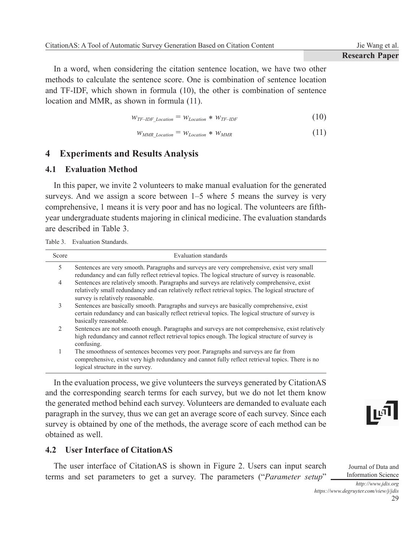In a word, when considering the citation sentence location, we have two other methods to calculate the sentence score. One is combination of sentence location and TF-IDF, which shown in formula (10), the other is combination of sentence location and MMR, as shown in formula (11).

$$
W_{TF-IDF\_Location} = W_{Location} * W_{TF-IDF}
$$
 (10)

$$
W_{MMR\_Location} = W_{Location} * W_{MMR} \tag{11}
$$

## **4 Experiments and Results Analysis**

#### **4.1 Evaluation Method**

In this paper, we invite 2 volunteers to make manual evaluation for the generated surveys. And we assign a score between 1–5 where 5 means the survey is very comprehensive, 1 means it is very poor and has no logical. The volunteers are fifthyear undergraduate students majoring in clinical medicine. The evaluation standards are described in Table 3.

Table 3. Evaluation Standards.

| Score              | Evaluation standards                                                                                                                                                                                                                 |
|--------------------|--------------------------------------------------------------------------------------------------------------------------------------------------------------------------------------------------------------------------------------|
| 5                  | Sentences are very smooth. Paragraphs and surveys are very comprehensive, exist very small<br>redundancy and can fully reflect retrieval topics. The logical structure of survey is reasonable.                                      |
| $\overline{4}$     | Sentences are relatively smooth. Paragraphs and surveys are relatively comprehensive, exist<br>relatively small redundancy and can relatively reflect retrieval topics. The logical structure of<br>survey is relatively reasonable. |
| 3                  | Sentences are basically smooth. Paragraphs and surveys are basically comprehensive, exist<br>certain redundancy and can basically reflect retrieval topics. The logical structure of survey is<br>basically reasonable.              |
| $\mathfrak{D}_{1}$ | Sentences are not smooth enough. Paragraphs and surveys are not comprehensive, exist relatively<br>high redundancy and cannot reflect retrieval topics enough. The logical structure of survey is<br>confusing.                      |
|                    | The smoothness of sentences becomes very poor. Paragraphs and surveys are far from<br>comprehensive, exist very high redundancy and cannot fully reflect retrieval topics. There is no<br>logical structure in the survey.           |

In the evaluation process, we give volunteers the surveys generated by CitationAS and the corresponding search terms for each survey, but we do not let them know the generated method behind each survey. Volunteers are demanded to evaluate each paragraph in the survey, thus we can get an average score of each survey. Since each survey is obtained by one of the methods, the average score of each method can be obtained as well.



The user interface of CitationAS is shown in Figure 2. Users can input search terms and set parameters to get a survey. The parameters ("*Parameter setup*" היון

Information Science *http://www.jdis.org https://www.degruyter.com/view/j/jdis*

Journal of Data and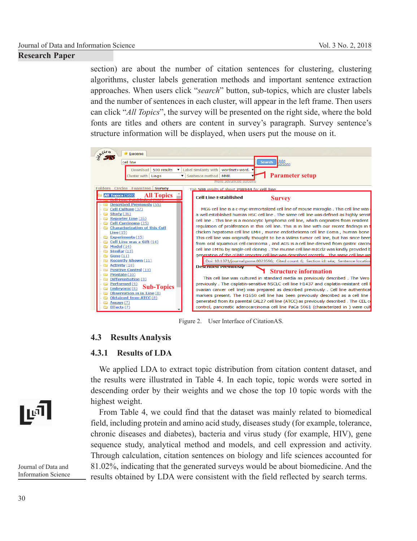section) are about the number of citation sentences for clustering, clustering algorithms, cluster labels generation methods and important sentence extraction approaches. When users click "*search*" button, sub-topics, which are cluster labels and the number of sentences in each cluster, will appear in the left frame. Then users can click "*All Topics*", the survey will be presented on the right side, where the bold fonts are titles and others are content in survey's paragraph. Survey sentence's structure information will be displayed, when users put the mouse on it.



Figure 2. User Interface of CitationAS.

## **4.3 Results Analysis**

## **4.3.1 Results of LDA**

We applied LDA to extract topic distribution from citation content dataset, and the results were illustrated in Table 4. In each topic, topic words were sorted in descending order by their weights and we chose the top 10 topic words with the highest weight.

From Table 4, we could find that the dataset was mainly related to biomedical field, including protein and amino acid study, diseases study (for example, tolerance, chronic diseases and diabetes), bacteria and virus study (for example, HIV), gene sequence study, analytical method and models, and cell expression and activity. Through calculation, citation sentences on biology and life sciences accounted for 81.02%, indicating that the generated surveys would be about biomedicine. And the results obtained by LDA were consistent with the field reflected by search terms.

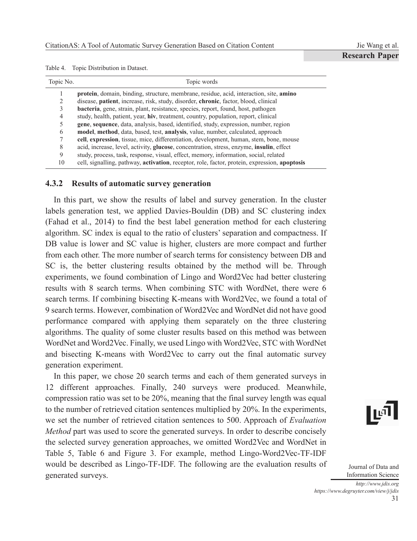Jie Wang et al. **Research Paper**

| Table 4. |  | Topic Distribution in Dataset. |  |  |
|----------|--|--------------------------------|--|--|
|----------|--|--------------------------------|--|--|

| Topic No. | Topic words                                                                                              |
|-----------|----------------------------------------------------------------------------------------------------------|
|           | <b>protein</b> , domain, binding, structure, membrane, residue, acid, interaction, site, <b>amino</b>    |
| 2         | disease, patient, increase, risk, study, disorder, chronic, factor, blood, clinical                      |
|           | <b>bacteria</b> , gene, strain, plant, resistance, species, report, found, host, pathogen                |
| 4         | study, health, patient, year, hiv, treatment, country, population, report, clinical                      |
|           | gene, sequence, data, analysis, based, identified, study, expression, number, region                     |
| 6         | model, method, data, based, test, analysis, value, number, calculated, approach                          |
|           | cell, expression, tissue, mice, differentiation, development, human, stem, bone, mouse                   |
| 8         | acid, increase, level, activity, <b>glucose</b> , concentration, stress, enzyme, <b>insulin</b> , effect |
| 9         | study, process, task, response, visual, effect, memory, information, social, related                     |
| 10        | cell, signalling, pathway, activation, receptor, role, factor, protein, expression, apoptosis            |

#### **4.3.2 Results of automatic survey generation**

In this part, we show the results of label and survey generation. In the cluster labels generation test, we applied Davies-Bouldin (DB) and SC clustering index (Fahad et al., 2014) to find the best label generation method for each clustering algorithm. SC index is equal to the ratio of clusters' separation and compactness. If DB value is lower and SC value is higher, clusters are more compact and further from each other. The more number of search terms for consistency between DB and SC is, the better clustering results obtained by the method will be. Through experiments, we found combination of Lingo and Word2Vec had better clustering results with 8 search terms. When combining STC with WordNet, there were 6 search terms. If combining bisecting K-means with Word2Vec, we found a total of 9 search terms. However, combination of Word2Vec and WordNet did not have good performance compared with applying them separately on the three clustering algorithms. The quality of some cluster results based on this method was between WordNet and Word2Vec. Finally, we used Lingo with Word2Vec, STC with WordNet and bisecting K-means with Word2Vec to carry out the final automatic survey generation experiment.

In this paper, we chose 20 search terms and each of them generated surveys in 12 different approaches. Finally, 240 surveys were produced. Meanwhile, compression ratio was set to be 20%, meaning that the final survey length was equal to the number of retrieved citation sentences multiplied by 20%. In the experiments, we set the number of retrieved citation sentences to 500. Approach of *Evaluation Method* part was used to score the generated surveys. In order to describe concisely the selected survey generation approaches, we omitted Word2Vec and WordNet in Table 5, Table 6 and Figure 3. For example, method Lingo-Word2Vec-TF-IDF would be described as Lingo-TF-IDF. The following are the evaluation results of generated surveys.

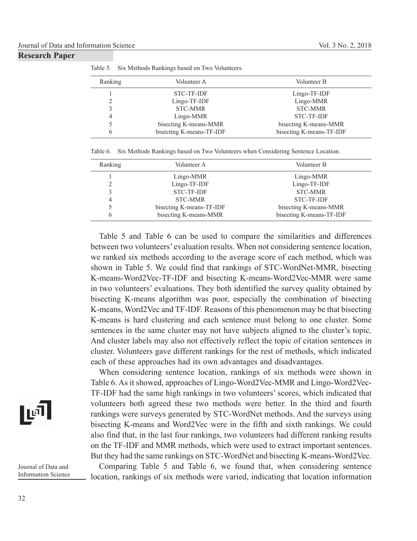| Ranking | Volunteer A              | Volunteer B              |
|---------|--------------------------|--------------------------|
|         | <b>STC-TF-IDF</b>        | Lingo-TF-IDF             |
| C.      | Lingo-TF-IDF             | Lingo-MMR                |
|         | <b>STC-MMR</b>           | <b>STC-MMR</b>           |
| 4       | Lingo-MMR                | <b>STC-TF-IDF</b>        |
|         | bisecting K-means-MMR    | bisecting K-means-MMR    |
| 6       | bisecting K-means-TF-IDF | bisecting K-means-TF-IDF |

Table 5. Six Methods Rankings based on Two Volunteers.

Table 6. Six Methods Rankings based on Two Volunteers when Considering Sentence Location.

| Ranking | Volunteer A              | Volunteer B              |
|---------|--------------------------|--------------------------|
|         | Lingo-MMR                | Lingo-MMR                |
|         | Lingo-TF-IDF             | Lingo-TF-IDF             |
|         | <b>STC-TF-IDF</b>        | <b>STC-MMR</b>           |
| 4       | <b>STC-MMR</b>           | <b>STC-TF-IDF</b>        |
|         | bisecting K-means-TF-IDF | bisecting K-means-MMR    |
| 6       | bisecting K-means-MMR    | bisecting K-means-TF-IDF |

Table 5 and Table 6 can be used to compare the similarities and differences between two volunteers' evaluation results. When not considering sentence location, we ranked six methods according to the average score of each method, which was shown in Table 5. We could find that rankings of STC-WordNet-MMR, bisecting K-means-Word2Vec-TF-IDF and bisecting K-means-Word2Vec-MMR were same in two volunteers' evaluations. They both identified the survey quality obtained by bisecting K-means algorithm was poor, especially the combination of bisecting K-means, Word2Vec and TF-IDF. Reasons of this phenomenon may be that bisecting K-means is hard clustering and each sentence must belong to one cluster. Some sentences in the same cluster may not have subjects aligned to the cluster's topic. And cluster labels may also not effectively reflect the topic of citation sentences in cluster. Volunteers gave different rankings for the rest of methods, which indicated each of these approaches had its own advantages and disadvantages.

When considering sentence location, rankings of six methods were shown in Table 6. As it showed, approaches of Lingo-Word2Vec-MMR and Lingo-Word2Vec-TF-IDF had the same high rankings in two volunteers' scores, which indicated that volunteers both agreed these two methods were better. In the third and fourth rankings were surveys generated by STC-WordNet methods. And the surveys using bisecting K-means and Word2Vec were in the fifth and sixth rankings. We could also find that, in the last four rankings, two volunteers had different ranking results on the TF-IDF and MMR methods, which were used to extract important sentences. But they had the same rankings on STC-WordNet and bisecting K-means-Word2Vec.

Comparing Table 5 and Table 6, we found that, when considering sentence location, rankings of six methods were varied, indicating that location information

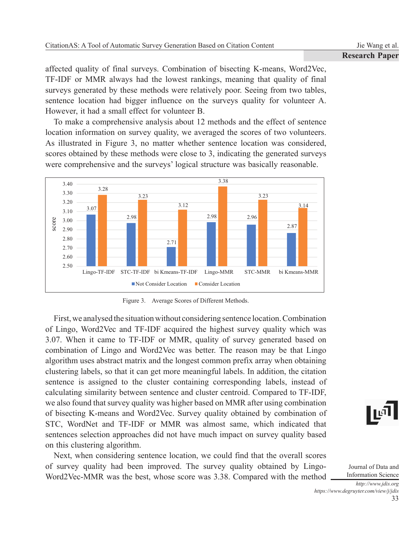affected quality of final surveys. Combination of bisecting K-means, Word2Vec, TF-IDF or MMR always had the lowest rankings, meaning that quality of final surveys generated by these methods were relatively poor. Seeing from two tables, sentence location had bigger influence on the surveys quality for volunteer A. However, it had a small effect for volunteer B.

To make a comprehensive analysis about 12 methods and the effect of sentence location information on survey quality, we averaged the scores of two volunteers. As illustrated in Figure 3, no matter whether sentence location was considered, scores obtained by these methods were close to 3, indicating the generated surveys were comprehensive and the surveys' logical structure was basically reasonable.



Figure 3. Average Scores of Different Methods.

First, we analysed the situation without considering sentence location. Combination of Lingo, Word2Vec and TF-IDF acquired the highest survey quality which was 3.07. When it came to TF-IDF or MMR, quality of survey generated based on combination of Lingo and Word2Vec was better. The reason may be that Lingo algorithm uses abstract matrix and the longest common prefix array when obtaining clustering labels, so that it can get more meaningful labels. In addition, the citation sentence is assigned to the cluster containing corresponding labels, instead of calculating similarity between sentence and cluster centroid. Compared to TF-IDF, we also found that survey quality was higher based on MMR after using combination of bisecting K-means and Word2Vec. Survey quality obtained by combination of STC, WordNet and TF-IDF or MMR was almost same, which indicated that sentences selection approaches did not have much impact on survey quality based on this clustering algorithm.

Next, when considering sentence location, we could find that the overall scores of survey quality had been improved. The survey quality obtained by Lingo-Word2Vec-MMR was the best, whose score was 3.38. Compared with the method

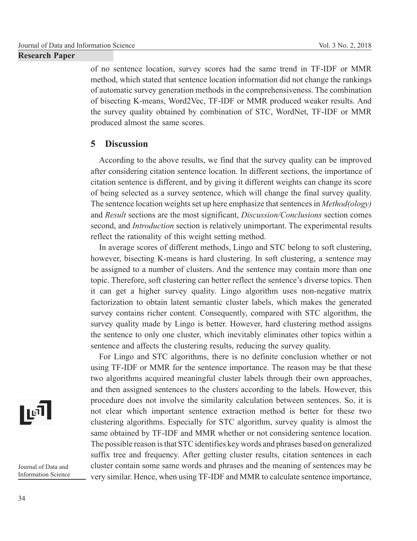of no sentence location, survey scores had the same trend in TF-IDF or MMR method, which stated that sentence location information did not change the rankings of automatic survey generation methods in the comprehensiveness. The combination of bisecting K-means, Word2Vec, TF-IDF or MMR produced weaker results. And the survey quality obtained by combination of STC, WordNet, TF-IDF or MMR produced almost the same scores.

## **5 Discussion**

According to the above results, we find that the survey quality can be improved after considering citation sentence location. In different sections, the importance of citation sentence is different, and by giving it different weights can change its score of being selected as a survey sentence, which will change the final survey quality. The sentence location weights set up here emphasize that sentences in *Method(ology)* and *Result* sections are the most significant, *Discussion/Conclusions* section comes second, and *Introduction* section is relatively unimportant. The experimental results reflect the rationality of this weight setting method.

In average scores of different methods, Lingo and STC belong to soft clustering, however, bisecting K-means is hard clustering. In soft clustering, a sentence may be assigned to a number of clusters. And the sentence may contain more than one topic. Therefore, soft clustering can better reflect the sentence's diverse topics. Then it can get a higher survey quality. Lingo algorithm uses non-negative matrix factorization to obtain latent semantic cluster labels, which makes the generated survey contains richer content. Consequently, compared with STC algorithm, the survey quality made by Lingo is better. However, hard clustering method assigns the sentence to only one cluster, which inevitably eliminates other topics within a sentence and affects the clustering results, reducing the survey quality.

For Lingo and STC algorithms, there is no definite conclusion whether or not using TF-IDF or MMR for the sentence importance. The reason may be that these two algorithms acquired meaningful cluster labels through their own approaches, and then assigned sentences to the clusters according to the labels. However, this procedure does not involve the similarity calculation between sentences. So, it is not clear which important sentence extraction method is better for these two clustering algorithms. Especially for STC algorithm, survey quality is almost the same obtained by TF-IDF and MMR whether or not considering sentence location. The possible reason is that STC identifies key words and phrases based on generalized suffix tree and frequency. After getting cluster results, citation sentences in each cluster contain some same words and phrases and the meaning of sentences may be very similar. Hence, when using TF-IDF and MMR to calculate sentence importance,

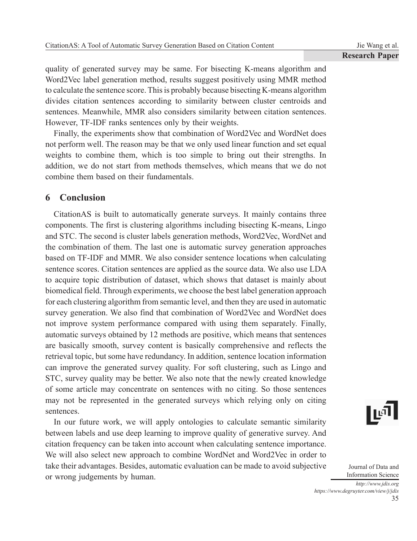quality of generated survey may be same. For bisecting K-means algorithm and Word2Vec label generation method, results suggest positively using MMR method to calculate the sentence score. This is probably because bisecting K-means algorithm divides citation sentences according to similarity between cluster centroids and sentences. Meanwhile, MMR also considers similarity between citation sentences. However, TF-IDF ranks sentences only by their weights.

Finally, the experiments show that combination of Word2Vec and WordNet does not perform well. The reason may be that we only used linear function and set equal weights to combine them, which is too simple to bring out their strengths. In addition, we do not start from methods themselves, which means that we do not combine them based on their fundamentals.

# **6 Conclusion**

CitationAS is built to automatically generate surveys. It mainly contains three components. The first is clustering algorithms including bisecting K-means, Lingo and STC. The second is cluster labels generation methods, Word2Vec, WordNet and the combination of them. The last one is automatic survey generation approaches based on TF-IDF and MMR. We also consider sentence locations when calculating sentence scores. Citation sentences are applied as the source data. We also use LDA to acquire topic distribution of dataset, which shows that dataset is mainly about biomedical field. Through experiments, we choose the best label generation approach for each clustering algorithm from semantic level, and then they are used in automatic survey generation. We also find that combination of Word2Vec and WordNet does not improve system performance compared with using them separately. Finally, automatic surveys obtained by 12 methods are positive, which means that sentences are basically smooth, survey content is basically comprehensive and reflects the retrieval topic, but some have redundancy. In addition, sentence location information can improve the generated survey quality. For soft clustering, such as Lingo and STC, survey quality may be better. We also note that the newly created knowledge of some article may concentrate on sentences with no citing. So those sentences may not be represented in the generated surveys which relying only on citing sentences.

In our future work, we will apply ontologies to calculate semantic similarity between labels and use deep learning to improve quality of generative survey. And citation frequency can be taken into account when calculating sentence importance. We will also select new approach to combine WordNet and Word2Vec in order to take their advantages. Besides, automatic evaluation can be made to avoid subjective or wrong judgements by human.

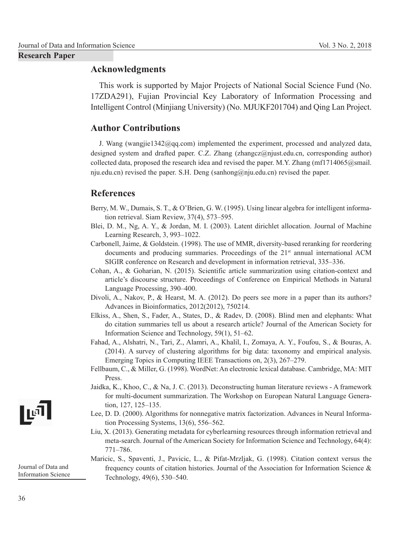## **Acknowledgments**

This work is supported by Major Projects of National Social Science Fund (No. 17ZDA291), Fujian Provincial Key Laboratory of Information Processing and Intelligent Control (Minjiang University) (No. MJUKF201704) and Qing Lan Project.

## **Author Contributions**

J. Wang (wangjie1342@qq.com) implemented the experiment, processed and analyzed data, designed system and drafted paper. C.Z. Zhang (zhangcz@njust.edu.cn, corresponding author) collected data, proposed the research idea and revised the paper. M.Y. Zhang (mf1714065@smail. nju.edu.cn) revised the paper. S.H. Deng (sanhong@nju.edu.cn) revised the paper.

# **References**

- Berry, M. W., Dumais, S. T., & O'Brien, G. W. (1995). Using linear algebra for intelligent information retrieval. Siam Review, 37(4), 573–595.
- Blei, D. M., Ng, A. Y., & Jordan, M. I. (2003). Latent dirichlet allocation. Journal of Machine Learning Research, 3, 993–1022.
- Carbonell, Jaime, & Goldstein. (1998). The use of MMR, diversity-based reranking for reordering documents and producing summaries. Proceedings of the  $21<sup>st</sup>$  annual international ACM SIGIR conference on Research and development in information retrieval, 335–336.
- Cohan, A., & Goharian, N. (2015). Scientific article summarization using citation-context and article's discourse structure. Proceedings of Conference on Empirical Methods in Natural Language Processing, 390–400.
- Divoli, A., Nakov, P., & Hearst, M. A. (2012). Do peers see more in a paper than its authors? Advances in Bioinformatics, 2012(2012), 750214.
- Elkiss, A., Shen, S., Fader, A., States, D., & Radev, D. (2008). Blind men and elephants: What do citation summaries tell us about a research article? Journal of the American Society for Information Science and Technology, 59(1), 51–62.
- Fah ad, A., Alshatri, N., Tari, Z., Alamri, A., Khalil, I., Zomaya, A. Y., Foufou, S., & Bouras, A. (2014). A survey of clustering algorithms for big data: taxonomy and empirical analysis. Emerging Topics in Computing IEEE Transactions on, 2(3), 267–279.
- Fellbaum, C., & Miller, G. (1998). Word Net: An e lectronic lexical database. Cambridge, MA: MIT Press.
- Jaidka, K., Khoo, C., & Na, J. C. (2013). Deconstructing human literature reviews A framework for multi-document summarization. The Workshop on European Natural Language Generation, 127, 125–135.
- Lee, D. D. (2000). Algorithms for nonnegative matrix factorization. Advances in Neural Information Processing Systems, 13(6), 556–562.
- Liu, X. (2013). Generating metadata for cyberlearning resources through information retrieval and meta-search. Journal of the American Society for Information Science and Technology, 64(4): 771–786.
- Maricic, S., Spaventi, J., Pavicic, L., & Pifat-Mrzljak, G. (1998). Citation context versus the frequency counts of citation histories. Journal of the Association for Information Science & Technology, 49(6), 530–540.